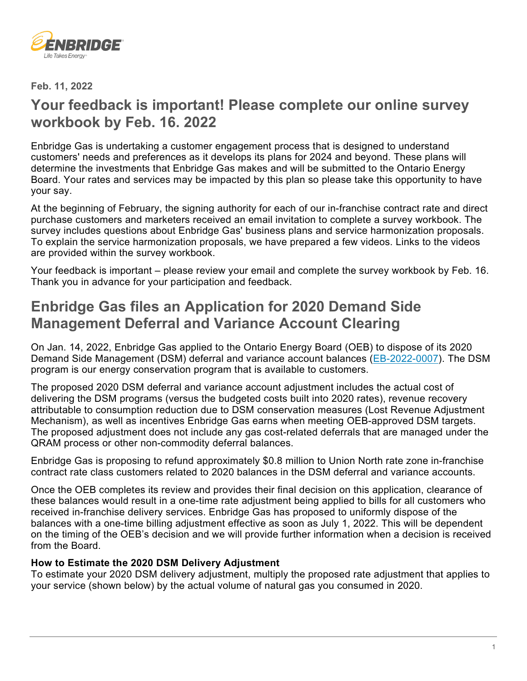

**Feb. 11, 2022**

## **Your feedback is important! Please complete our online survey workbook by Feb. 16. 2022**

Enbridge Gas is undertaking a customer engagement process that is designed to understand customers' needs and preferences as it develops its plans for 2024 and beyond. These plans will determine the investments that Enbridge Gas makes and will be submitted to the Ontario Energy Board. Your rates and services may be impacted by this plan so please take this opportunity to have your say.

At the beginning of February, the signing authority for each of our in-franchise contract rate and direct purchase customers and marketers received an email invitation to complete a survey workbook. The survey includes questions about Enbridge Gas' business plans and service harmonization proposals. To explain the service harmonization proposals, we have prepared a few videos. Links to the videos are provided within the survey workbook.

Your feedback is important – please review your email and complete the survey workbook by Feb. 16. Thank you in advance for your participation and feedback.

## **Enbridge Gas files an Application for 2020 Demand Side Management Deferral and Variance Account Clearing**

On Jan. 14, 2022, Enbridge Gas applied to the Ontario Energy Board (OEB) to dispose of its 2020 Demand Side Management (DSM) deferral and variance account balances [\(EB-2022-0007\)](https://www.enbridgegas.com/about-enbridge-gas/regulatory). The DSM program is our energy conservation program that is available to customers.

The proposed 2020 DSM deferral and variance account adjustment includes the actual cost of delivering the DSM programs (versus the budgeted costs built into 2020 rates), revenue recovery attributable to consumption reduction due to DSM conservation measures (Lost Revenue Adjustment Mechanism), as well as incentives Enbridge Gas earns when meeting OEB-approved DSM targets. The proposed adjustment does not include any gas cost-related deferrals that are managed under the QRAM process or other non-commodity deferral balances.

Enbridge Gas is proposing to refund approximately \$0.8 million to Union North rate zone in-franchise contract rate class customers related to 2020 balances in the DSM deferral and variance accounts.

Once the OEB completes its review and provides their final decision on this application, clearance of these balances would result in a one-time rate adjustment being applied to bills for all customers who received in-franchise delivery services. Enbridge Gas has proposed to uniformly dispose of the balances with a one-time billing adjustment effective as soon as July 1, 2022. This will be dependent on the timing of the OEB's decision and we will provide further information when a decision is received from the Board.

#### **How to Estimate the 2020 DSM Delivery Adjustment**

To estimate your 2020 DSM delivery adjustment, multiply the proposed rate adjustment that applies to your service (shown below) by the actual volume of natural gas you consumed in 2020.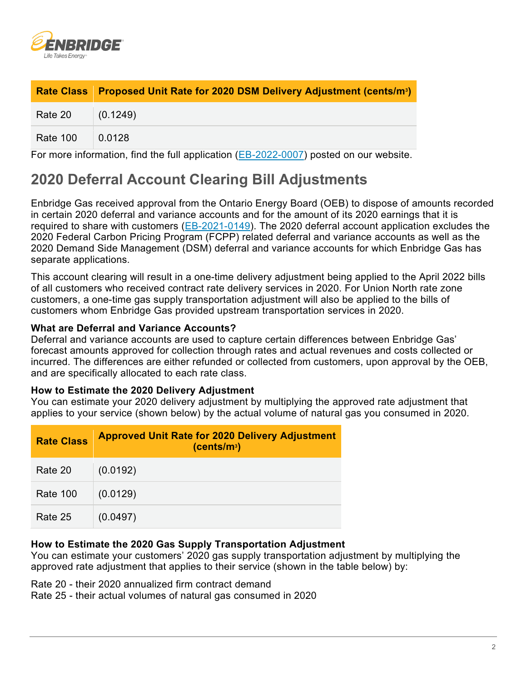

|                  | Rate Class Proposed Unit Rate for 2020 DSM Delivery Adjustment (cents/m <sup>3</sup> ) |
|------------------|----------------------------------------------------------------------------------------|
| Rate 20 (0.1249) |                                                                                        |
| Rate 100         | $\vert$ 0.0128                                                                         |

For more information, find the full application [\(EB-2022-0007\)](https://www.enbridgegas.com/about-enbridge-gas/regulatory) posted on our website.

# **2020 Deferral Account Clearing Bill Adjustments**

Enbridge Gas received approval from the Ontario Energy Board (OEB) to dispose of amounts recorded in certain 2020 deferral and variance accounts and for the amount of its 2020 earnings that it is required to share with customers [\(EB-2021-0149\)](https://www.enbridgegas.com/about-enbridge-gas/regulatory). The 2020 deferral account application excludes the 2020 Federal Carbon Pricing Program (FCPP) related deferral and variance accounts as well as the 2020 Demand Side Management (DSM) deferral and variance accounts for which Enbridge Gas has separate applications.

This account clearing will result in a one-time delivery adjustment being applied to the April 2022 bills of all customers who received contract rate delivery services in 2020. For Union North rate zone customers, a one-time gas supply transportation adjustment will also be applied to the bills of customers whom Enbridge Gas provided upstream transportation services in 2020.

#### **What are Deferral and Variance Accounts?**

Deferral and variance accounts are used to capture certain differences between Enbridge Gas' forecast amounts approved for collection through rates and actual revenues and costs collected or incurred. The differences are either refunded or collected from customers, upon approval by the OEB, and are specifically allocated to each rate class.

#### **How to Estimate the 2020 Delivery Adjustment**

You can estimate your 2020 delivery adjustment by multiplying the approved rate adjustment that applies to your service (shown below) by the actual volume of natural gas you consumed in 2020.

| <b>Rate Class</b> | <b>Approved Unit Rate for 2020 Delivery Adjustment</b><br>(cents/m <sup>3</sup> ) |
|-------------------|-----------------------------------------------------------------------------------|
| Rate 20           | (0.0192)                                                                          |
| <b>Rate 100</b>   | (0.0129)                                                                          |
| Rate 25           | (0.0497)                                                                          |

#### **How to Estimate the 2020 Gas Supply Transportation Adjustment**

You can estimate your customers' 2020 gas supply transportation adjustment by multiplying the approved rate adjustment that applies to their service (shown in the table below) by:

Rate 20 - their 2020 annualized firm contract demand

Rate 25 - their actual volumes of natural gas consumed in 2020